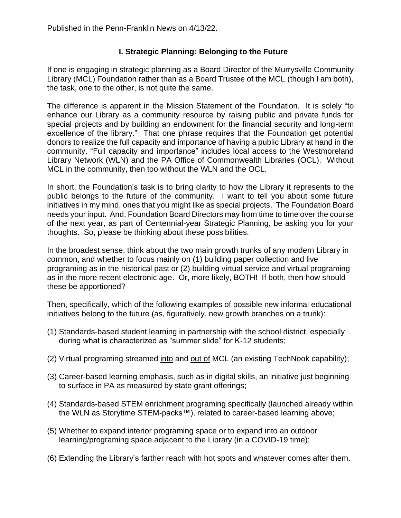## **I. Strategic Planning: Belonging to the Future**

If one is engaging in strategic planning as a Board Director of the Murrysville Community Library (MCL) Foundation rather than as a Board Trustee of the MCL (though I am both), the task, one to the other, is not quite the same.

The difference is apparent in the Mission Statement of the Foundation. It is solely "to enhance our Library as a community resource by raising public and private funds for special projects and by building an endowment for the financial security and long-term excellence of the library."That one phrase requires that the Foundation get potential donors to realize the full capacity and importance of having a public Library at hand in the community. "Full capacity and importance" includes local access to the Westmoreland Library Network (WLN) and the PA Office of Commonwealth Libraries (OCL). Without MCL in the community, then too without the WLN and the OCL.

In short, the Foundation's task is to bring clarity to how the Library it represents to the public belongs to the future of the community. I want to tell you about some future initiatives in my mind, ones that you might like as special projects. The Foundation Board needs your input. And, Foundation Board Directors may from time to time over the course of the next year, as part of Centennial-year Strategic Planning, be asking you for your thoughts. So, please be thinking about these possibilities.

In the broadest sense, think about the two main growth trunks of any modern Library in common, and whether to focus mainly on (1) building paper collection and live programing as in the historical past or (2) building virtual service and virtual programing as in the more recent electronic age. Or, more likely, BOTH! If both, then how should these be apportioned?

Then, specifically, which of the following examples of possible new informal educational initiatives belong to the future (as, figuratively, new growth branches on a trunk):

- (1) Standards-based student learning in partnership with the school district, especially during what is characterized as "summer slide" for K-12 students;
- (2) Virtual programing streamed into and out of MCL (an existing TechNook capability);
- (3) Career-based learning emphasis, such as in digital skills, an initiative just beginning to surface in PA as measured by state grant offerings;
- (4) Standards-based STEM enrichment programing specifically (launched already within the WLN as Storytime STEM-packs™), related to career-based learning above;
- (5) Whether to expand interior programing space or to expand into an outdoor learning/programing space adjacent to the Library (in a COVID-19 time);
- (6) Extending the Library's farther reach with hot spots and whatever comes after them.